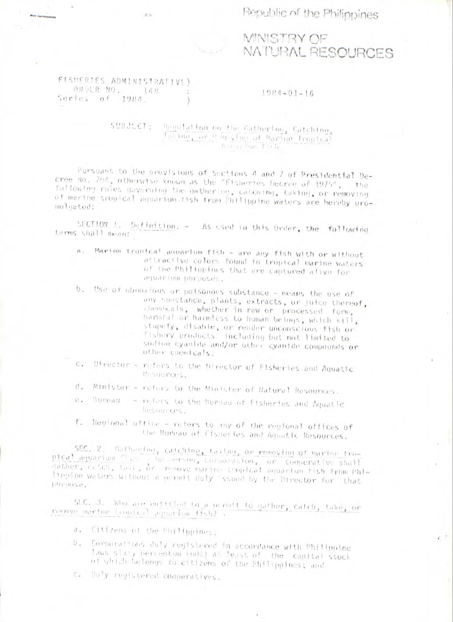Republic of the Philippines



FISHERIES ADMINISTRATIVE) OROER NO. 148 Series of 1984.

**MNISTRY OF** NATURAL RESOURCES

 $\mathcal{L}^{\text{max}}$ 

## $1984 - 01 - 16$

SUBJECT: Regulation on the Cathering, Catching, Instructor Remevime of Marine Tropical Adrest ban Fich

Pursuant to the provisions of Sections 4 and 7 of Presidential Decree No. 204, otherwise known as the "Fisheries Decree of 1975", the fullowing rules governing the gathering, catening, taking, or removing of marine tropical aquarium tish from Philippine waters are hereby promulgated:

SECTION 1. Definition. - As used in this Order, the following terms shall mean:

- a. Marine tropical aquarium fish are any fish with or without attractive colors found in tropical marine waters of the Philippines that are captured alive for aquarium purposes.
- b. Use of obnoxious or poisonous substance means the use of any substance, plants, extracts, or juice thereof, chemicals, whether in raw or processed form, harminal or harmless to human beings, which kill, stupefy, disable, or render unconscious fish or fishery products including but not limited to soution cyanide and/or other cyanide compounds or other cnemicals.
- Director refers to the Director of Fisheries and Aquatic C. Resources.
- Minister refers to the Minister of Natural Resources. d.
- Uureau refers to the Sureau of Eisheries and Aquatic €. Resources.
- Regional office refers to any of the regional offices of f. the Bureau of Cisheries and Aquatic Resources.

SEC. 2. Gathering, catching, taking, or removing of marine tropical agencian find the erson, corporation, or cooperative shall gather, cetch, take, or remove marine cropical aquarium fish from Philingine waters without a permit duly issued by the Director for that purpose.

SEC. 3. Who are entitled to a nurmit to gather, catch, take, or remove marine tropical aquarium fish?

- a. Citizens of the Philippines;
- Corporations duly registered in accordance with Philippine  $b_{\star}$ laws sixty percentum (nd) at least of the capital stock of which belongs to citizens of the Philippines; and
- Duly registered cooperatives. C.